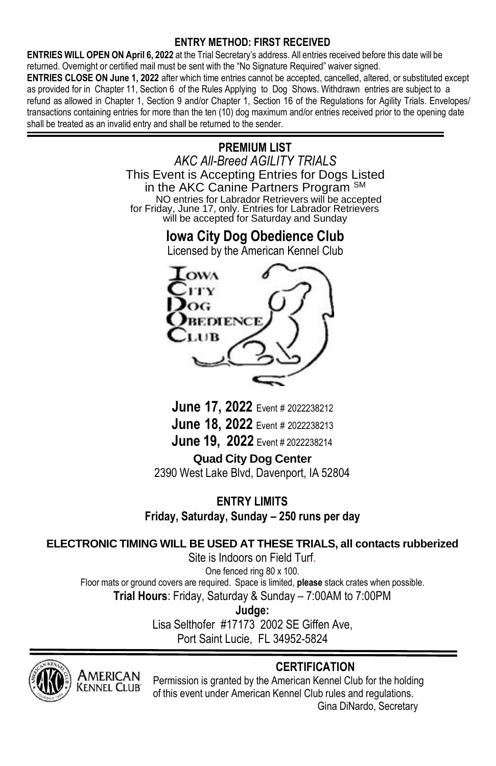## **ENTRY METHOD: FIRST RECEIVED**

**ENTRIES WILL OPEN ON April 6, 2022** at the Trial Secretary's address. All entries received before this date will be returned. Overnight or certified mail must be sent with the "No Signature Required" waiver signed.

**ENTRIES CLOSE ON June 1, 2022** after which time entries cannot be accepted, cancelled, altered, or substituted except as provided for in Chapter 11, Section 6 of the Rules Applying to Dog Shows. Withdrawn entries are subject to a refund as allowed in Chapter 1, Section 9 and/or Chapter 1, Section 16 of the Regulations for Agility Trials. Envelopes/ transactions containing entries for more than the ten (10) dog maximum and/or entries received prior to the opening date shall be treated as an invalid entry and shall be returned to the sender.

> **PREMIUM LIST** *AKC All-Breed AGILITY TRIALS* This Event is Accepting Entries for Dogs Listed in the AKC Canine Partners Program SM NO entries for Labrador Retrievers will be accepted for Friday, June 17, only. Entries for Labrador Retrievers will be accepted for Saturday and Sunday

**Iowa City Dog Obedience Club**





**June 17, 2022** Event # <sup>2022238212</sup> **June 18, 2022** Event # <sup>2022238213</sup> **June 19, 2022** Event # 2022238214

**Quad City Dog Center** 2390 West Lake Blvd, Davenport, IA 52804

**ENTRY LIMITS Friday, Saturday, Sunday – 250 runs per day**

## **ELECTRONIC TIMING WILL BE USED AT THESE TRIALS, all contacts rubberized**

Site is Indoors on Field Turf. One fenced ring 80 x 100. Floor mats or ground covers are required. Space is limited, **please** stack crates when possible. **Trial Hours**: Friday, Saturday & Sunday – 7:00AM to 7:00PM

**Judge:**

Lisa Selthofer #17173 2002 SE Giffen Ave, Port Saint Lucie, FL 34952-5824



**MERICAN** (ennel **C**lub

## **CERTIFICATION**

Permission is granted by the American Kennel Club for the holding of this event under American Kennel Club rules and regulations. Gina DiNardo, Secretary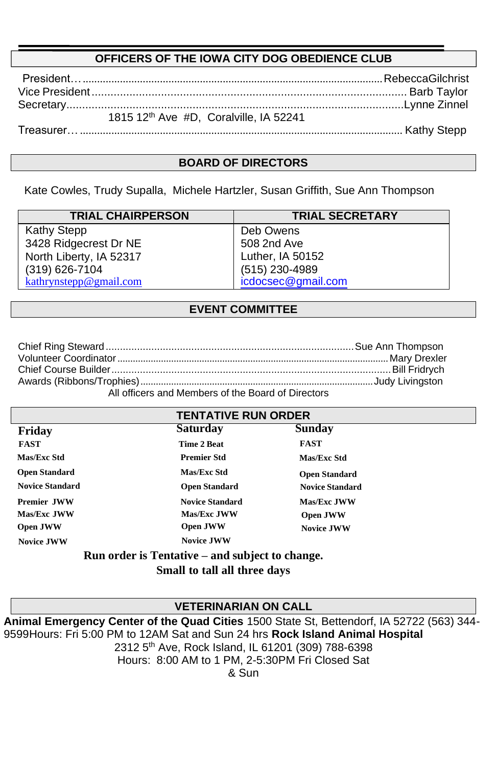## **OFFICERS OF THE IOWA CITY DOG OBEDIENCE CLUB**

| 1815 12th Ave #D, Coralville, IA 52241 |
|----------------------------------------|
|                                        |

### **BOARD OF DIRECTORS**

Kate Cowles, Trudy Supalla, Michele Hartzler, Susan Griffith, Sue Ann Thompson

| <b>TRIAL CHAIRPERSON</b> | <b>TRIAL SECRETARY</b> |
|--------------------------|------------------------|
| Kathy Stepp              | Deb Owens              |
| 3428 Ridgecrest Dr NE    | 508 2nd Ave            |
| North Liberty, IA 52317  | Luther, IA 50152       |
| (319) 626-7104           | (515) 230-4989         |
| kathrynstepp@gmail.com   | icdocsec@gmail.com     |

## **EVENT COMMITTEE**

| All officers and Members of the Board of Directors |  |
|----------------------------------------------------|--|

All officers and Members of the Board of Directors

| <b>TENTATIVE RUN ORDER</b>                      |                        |                        |  |  |
|-------------------------------------------------|------------------------|------------------------|--|--|
| Friday                                          | <b>Saturday</b>        | Sunday                 |  |  |
| <b>FAST</b>                                     | Time 2 Beat            | <b>FAST</b>            |  |  |
| Mas/Exc Std                                     | <b>Premier Std</b>     | Mas/Exc Std            |  |  |
| <b>Open Standard</b>                            | <b>Mas/Exc Std</b>     | <b>Open Standard</b>   |  |  |
| <b>Novice Standard</b>                          | <b>Open Standard</b>   | <b>Novice Standard</b> |  |  |
| <b>Premier JWW</b>                              | <b>Novice Standard</b> | <b>Mas/Exc.IWW</b>     |  |  |
| Mas/Exc.JWW                                     | <b>Mas/Exc.IWW</b>     | <b>Open JWW</b>        |  |  |
| <b>Open JWW</b>                                 | <b>Open JWW</b>        | <b>Novice JWW</b>      |  |  |
| <b>Novice JWW</b>                               | <b>Novice JWW</b>      |                        |  |  |
| Run order is Tentative – and subject to change. |                        |                        |  |  |

**Small to tall all three days**

### **VETERINARIAN ON CALL**

**Animal Emergency Center of the Quad Cities** 1500 State St, Bettendorf, IA 52722 (563) 344- 9599Hours: Fri 5:00 PM to 12AM Sat and Sun 24 hrs **Rock Island Animal Hospital** 2312 5 th Ave, Rock Island, IL 61201 (309) 788-6398 Hours: 8:00 AM to 1 PM, 2-5:30PM Fri Closed Sat & Sun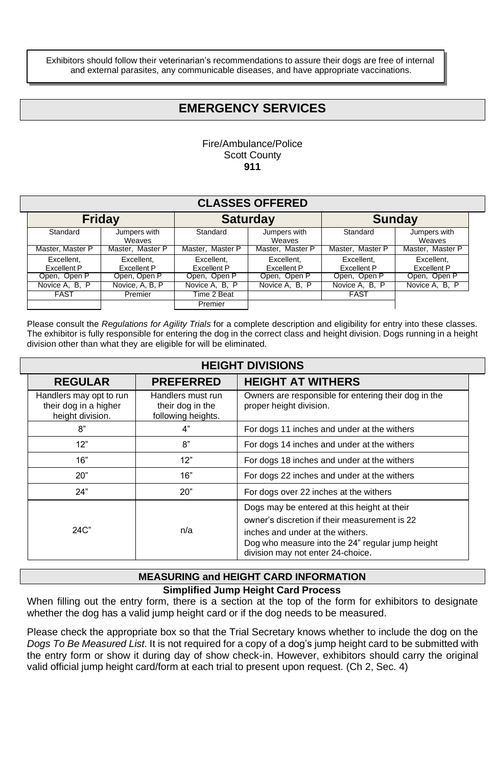Exhibitors should follow their veterinarian's recommendations to assure their dogs are free of internal and external parasites, any communicable diseases, and have appropriate vaccinations.

## **EMERGENCY SERVICES**

#### Fire/Ambulance/Police Scott County **911**

| <b>CLASSES OFFERED</b>    |                                                   |                           |                                  |                                  |                                  |  |  |
|---------------------------|---------------------------------------------------|---------------------------|----------------------------------|----------------------------------|----------------------------------|--|--|
|                           | <b>Friday</b><br><b>Saturday</b><br><b>Sunday</b> |                           |                                  |                                  |                                  |  |  |
| Standard                  | Jumpers with<br>Weaves                            | Standard                  | Jumpers with<br>Weaves           | Standard                         | Jumpers with<br>Weaves           |  |  |
| Master, Master P          | Master, Master P                                  | Master, Master P          | Master, Master P                 | Master, Master P                 | Master, Master P                 |  |  |
| Excellent.<br>Excellent P | Excellent.<br>Excellent P                         | Excellent.<br>Excellent P | Excellent.<br><b>Excellent P</b> | Excellent.<br><b>Excellent P</b> | Excellent.<br><b>Excellent P</b> |  |  |
| Open, Open P              | Open, Open P                                      | Open, Open P              | Open, Open P                     | Open, Open P                     | Open, Open P                     |  |  |
| Novice A, B, P            | Novice, A, B, P                                   | Novice A, B, P            | Novice A, B, P                   | Novice A, B, P                   | Novice A, B, P                   |  |  |
| <b>FAST</b>               | Premier                                           | Time 2 Beat               |                                  | <b>FAST</b>                      |                                  |  |  |
|                           |                                                   | Premier                   |                                  |                                  |                                  |  |  |

Please consult the *Regulations for Agility Trials* for a complete description and eligibility for entry into these classes. The exhibitor is fully responsible for entering the dog in the correct class and height division. Dogs running in a height division other than what they are eligible for will be eliminated.

| <b>HEIGHT DIVISIONS</b>                                              |                                                             |                                                                                                                                                                                                                           |  |  |  |
|----------------------------------------------------------------------|-------------------------------------------------------------|---------------------------------------------------------------------------------------------------------------------------------------------------------------------------------------------------------------------------|--|--|--|
| <b>REGULAR</b>                                                       | <b>PREFERRED</b>                                            | <b>HEIGHT AT WITHERS</b>                                                                                                                                                                                                  |  |  |  |
| Handlers may opt to run<br>their dog in a higher<br>height division. | Handlers must run<br>their dog in the<br>following heights. | Owners are responsible for entering their dog in the<br>proper height division.                                                                                                                                           |  |  |  |
| 8"                                                                   | 4"                                                          | For dogs 11 inches and under at the withers                                                                                                                                                                               |  |  |  |
| 12"                                                                  | 8"                                                          | For dogs 14 inches and under at the withers                                                                                                                                                                               |  |  |  |
| 16"                                                                  | 12"                                                         | For dogs 18 inches and under at the withers                                                                                                                                                                               |  |  |  |
| 20"                                                                  | 16"                                                         | For dogs 22 inches and under at the withers                                                                                                                                                                               |  |  |  |
| 24"                                                                  | 20"                                                         | For dogs over 22 inches at the withers                                                                                                                                                                                    |  |  |  |
| $24C$ "                                                              | n/a                                                         | Dogs may be entered at this height at their<br>owner's discretion if their measurement is 22<br>inches and under at the withers.<br>Dog who measure into the 24" regular jump height<br>division may not enter 24-choice. |  |  |  |

#### **Simplified Jump Height Card Process MEASURING and HEIGHT CARD INFORMATION**

When filling out the entry form, there is a section at the top of the form for exhibitors to designate whether the dog has a valid jump height card or if the dog needs to be measured.

Please check the appropriate box so that the Trial Secretary knows whether to include the dog on the *Dogs To Be Measured List*. It is not required for a copy of a dog's jump height card to be submitted with the entry form or show it during day of show check-in. However, exhibitors should carry the original valid official jump height card/form at each trial to present upon request. (Ch 2, Sec. 4)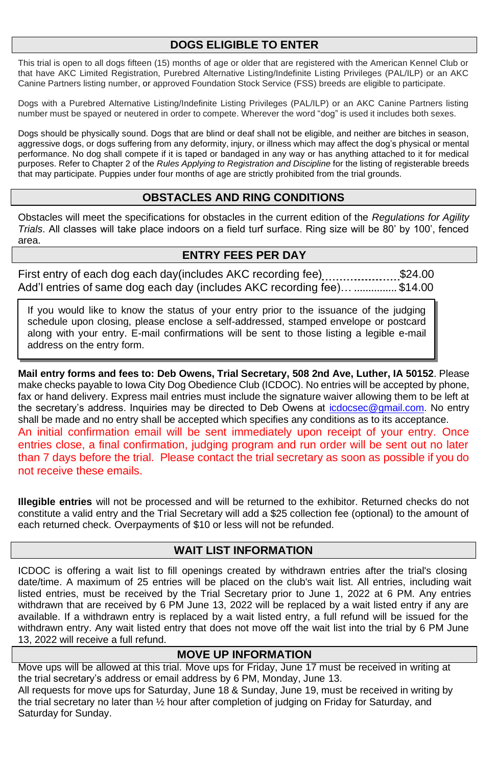## **DOGS ELIGIBLE TO ENTER**

This trial is open to all dogs fifteen (15) months of age or older that are registered with the American Kennel Club or that have AKC Limited Registration, Purebred Alternative Listing/Indefinite Listing Privileges (PAL/ILP) or an AKC Canine Partners listing number, or approved Foundation Stock Service (FSS) breeds are eligible to participate.

Dogs with a Purebred Alternative Listing/Indefinite Listing Privileges (PAL/ILP) or an AKC Canine Partners listing number must be spayed or neutered in order to compete. Wherever the word "dog" is used it includes both sexes.

Dogs should be physically sound. Dogs that are blind or deaf shall not be eligible, and neither are bitches in season, aggressive dogs, or dogs suffering from any deformity, injury, or illness which may affect the dog's physical or mental performance. No dog shall compete if it is taped or bandaged in any way or has anything attached to it for medical purposes. Refer to Chapter 2 of the *Rules Applying to Registration and Discipline* for the listing of registerable breeds that may participate. Puppies under four months of age are strictly prohibited from the trial grounds.

### **OBSTACLES AND RING CONDITIONS**

Obstacles will meet the specifications for obstacles in the current edition of the *Regulations for Agility Trials*. All classes will take place indoors on a field turf surface. Ring size will be 80' by 100', fenced area.

## **ENTRY FEES PER DAY**

First entry of each dog each day(includes AKC recording fee)......................\$24.00 Add'l entries of same dog each day (includes AKC recording fee)… ............... \$14.00

If you would like to know the status of your entry prior to the issuance of the judging schedule upon closing, please enclose a self-addressed, stamped envelope or postcard along with your entry. E-mail confirmations will be sent to those listing a legible e-mail address on the entry form.

**Mail entry forms and fees to: Deb Owens, Trial Secretary, 508 2nd Ave, Luther, IA 50152**. Please make checks payable to Iowa City Dog Obedience Club (ICDOC). No entries will be accepted by phone, fax or hand delivery. Express mail entries must include the signature waiver allowing them to be left at the secretary's address. Inquiries may be directed to Deb Owens at [icdocsec@gmail.com.](mailto:icdocsec@gmail.com) No entry shall be made and no entry shall be accepted which specifies any conditions as to its acceptance. An initial confirmation email will be sent immediately upon receipt of your entry. Once entries close, a final confirmation, judging program and run order will be sent out no later than 7 days before the trial. Please contact the trial secretary as soon as possible if you do not receive these emails.

**Illegible entries** will not be processed and will be returned to the exhibitor. Returned checks do not constitute a valid entry and the Trial Secretary will add a \$25 collection fee (optional) to the amount of each returned check. Overpayments of \$10 or less will not be refunded.

#### **WAIT LIST INFORMATION**

ICDOC is offering a wait list to fill openings created by withdrawn entries after the trial's closing date/time. A maximum of 25 entries will be placed on the club's wait list. All entries, including wait listed entries, must be received by the Trial Secretary prior to June 1, 2022 at 6 PM. Any entries withdrawn that are received by 6 PM June 13, 2022 will be replaced by a wait listed entry if any are available. If a withdrawn entry is replaced by a wait listed entry, a full refund will be issued for the withdrawn entry. Any wait listed entry that does not move off the wait list into the trial by 6 PM June 13, 2022 will receive a full refund.

## **MOVE UP INFORMATION**

Move ups will be allowed at this trial. Move ups for Friday, June 17 must be received in writing at the trial secretary's address or email address by 6 PM, Monday, June 13. All requests for move ups for Saturday, June 18 & Sunday, June 19, must be received in writing by the trial secretary no later than ½ hour after completion of judging on Friday for Saturday, and Saturday for Sunday.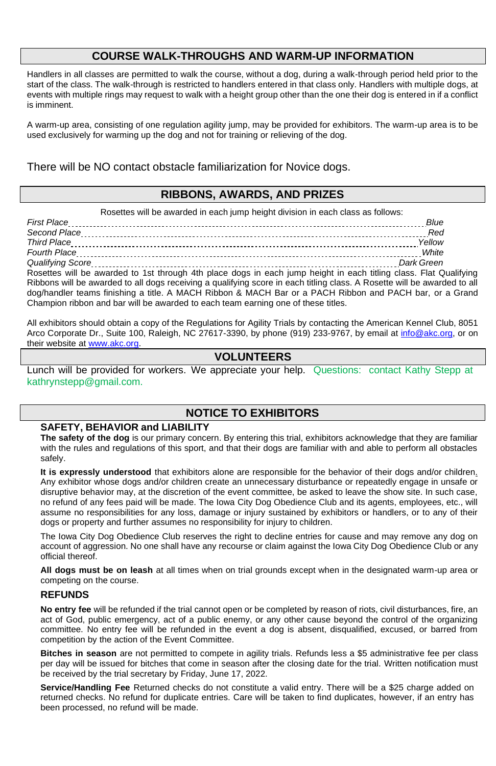## **COURSE WALK-THROUGHS AND WARM-UP INFORMATION**

Handlers in all classes are permitted to walk the course, without a dog, during a walk-through period held prior to the start of the class. The walk-through is restricted to handlers entered in that class only. Handlers with multiple dogs, at events with multiple rings may request to walk with a height group other than the one their dog is entered in if a conflict is imminent.

A warm-up area, consisting of one regulation agility jump, may be provided for exhibitors. The warm-up area is to be used exclusively for warming up the dog and not for training or relieving of the dog.

There will be NO contact obstacle familiarization for Novice dogs.

## **RIBBONS, AWARDS, AND PRIZES**

Rosettes will be awarded in each jump height division in each class as follows:

| <b>First Place</b>  |  |
|---------------------|--|
|                     |  |
| Third Place         |  |
| <b>Fourth Place</b> |  |
|                     |  |
|                     |  |

Rosettes will be awarded to 1st through 4th place dogs in each jump height in each titling class. Flat Qualifying Ribbons will be awarded to all dogs receiving a qualifying score in each titling class. A Rosette will be awarded to all dog/handler teams finishing a title. A MACH Ribbon & MACH Bar or a PACH Ribbon and PACH bar, or a Grand Champion ribbon and bar will be awarded to each team earning one of these titles.

All exhibitors should obtain a copy of the Regulations for Agility Trials by contacting the American Kennel Club, 8051 Arco Corporate Dr., Suite 100, Raleigh, NC 27617-3390, by phone (919) 233-9767, by email a[t info@akc.org, o](mailto:info@akc.org)r on their website at [www.akc.org.](http://www.akc.org/)

### **VOLUNTEERS**

Lunch will be provided for workers. We appreciate your help. Questions: contact Kathy Stepp at [kathrynstepp@gmail.com.](mailto:kathrynstepp@gmail.com)

## **NOTICE TO EXHIBITORS**

#### **SAFETY, BEHAVIOR and LIABILITY**

**The safety of the dog** is our primary concern. By entering this trial, exhibitors acknowledge that they are familiar with the rules and regulations of this sport, and that their dogs are familiar with and able to perform all obstacles safely.

**It is expressly understood** that exhibitors alone are responsible for the behavior of their dogs and/or children. Any exhibitor whose dogs and/or children create an unnecessary disturbance or repeatedly engage in unsafe or disruptive behavior may, at the discretion of the event committee, be asked to leave the show site. In such case, no refund of any fees paid will be made. The Iowa City Dog Obedience Club and its agents, employees, etc., will assume no responsibilities for any loss, damage or injury sustained by exhibitors or handlers, or to any of their dogs or property and further assumes no responsibility for injury to children.

The Iowa City Dog Obedience Club reserves the right to decline entries for cause and may remove any dog on account of aggression. No one shall have any recourse or claim against the Iowa City Dog Obedience Club or any official thereof.

**All dogs must be on leash** at all times when on trial grounds except when in the designated warm-up area or competing on the course.

#### **REFUNDS**

**No entry fee** will be refunded if the trial cannot open or be completed by reason of riots, civil disturbances, fire, an act of God, public emergency, act of a public enemy, or any other cause beyond the control of the organizing committee. No entry fee will be refunded in the event a dog is absent, disqualified, excused, or barred from competition by the action of the Event Committee.

**Bitches in season** are not permitted to compete in agility trials. Refunds less a \$5 administrative fee per class per day will be issued for bitches that come in season after the closing date for the trial. Written notification must be received by the trial secretary by Friday, June 17, 2022.

**Service/Handling Fee** Returned checks do not constitute a valid entry. There will be a \$25 charge added on returned checks. No refund for duplicate entries. Care will be taken to find duplicates, however, if an entry has been processed, no refund will be made.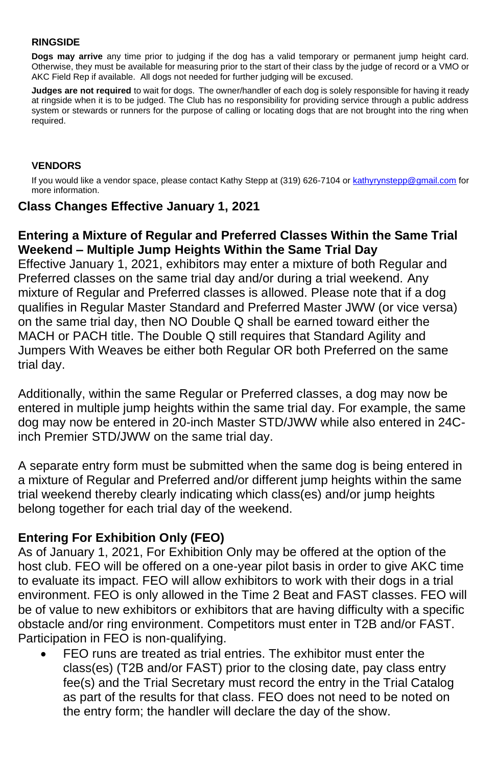#### **RINGSIDE**

**Dogs may arrive** any time prior to judging if the dog has a valid temporary or permanent jump height card. Otherwise, they must be available for measuring prior to the start of their class by the judge of record or a VMO or AKC Field Rep if available. All dogs not needed for further judging will be excused.

**Judges are not required** to wait for dogs. The owner/handler of each dog is solely responsible for having it ready at ringside when it is to be judged. The Club has no responsibility for providing service through a public address system or stewards or runners for the purpose of calling or locating dogs that are not brought into the ring when required.

### **VENDORS**

If you would like a vendor space, please contact Kathy Stepp at (319) 626-7104 or [kathyrynstepp@gmail.com](mailto:kathyrynstepp@gmail.com) for more information.

## **Class Changes Effective January 1, 2021**

## **Entering a Mixture of Regular and Preferred Classes Within the Same Trial Weekend – Multiple Jump Heights Within the Same Trial Day**

Effective January 1, 2021, exhibitors may enter a mixture of both Regular and Preferred classes on the same trial day and/or during a trial weekend. Any mixture of Regular and Preferred classes is allowed. Please note that if a dog qualifies in Regular Master Standard and Preferred Master JWW (or vice versa) on the same trial day, then NO Double Q shall be earned toward either the MACH or PACH title. The Double Q still requires that Standard Agility and Jumpers With Weaves be either both Regular OR both Preferred on the same trial day.

Additionally, within the same Regular or Preferred classes, a dog may now be entered in multiple jump heights within the same trial day. For example, the same dog may now be entered in 20-inch Master STD/JWW while also entered in 24Cinch Premier STD/JWW on the same trial day.

A separate entry form must be submitted when the same dog is being entered in a mixture of Regular and Preferred and/or different jump heights within the same trial weekend thereby clearly indicating which class(es) and/or jump heights belong together for each trial day of the weekend.

## **Entering For Exhibition Only (FEO)**

As of January 1, 2021, For Exhibition Only may be offered at the option of the host club. FEO will be offered on a one-year pilot basis in order to give AKC time to evaluate its impact. FEO will allow exhibitors to work with their dogs in a trial environment. FEO is only allowed in the Time 2 Beat and FAST classes. FEO will be of value to new exhibitors or exhibitors that are having difficulty with a specific obstacle and/or ring environment. Competitors must enter in T2B and/or FAST. Participation in FEO is non-qualifying.

• FEO runs are treated as trial entries. The exhibitor must enter the class(es) (T2B and/or FAST) prior to the closing date, pay class entry fee(s) and the Trial Secretary must record the entry in the Trial Catalog as part of the results for that class. FEO does not need to be noted on the entry form; the handler will declare the day of the show.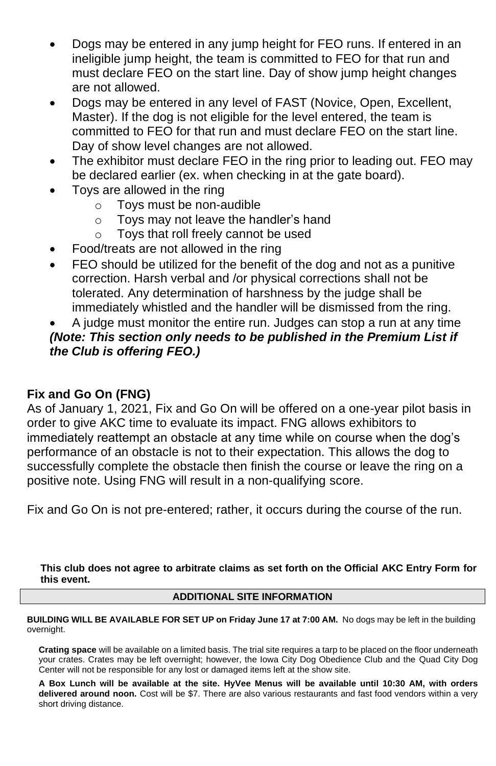- Dogs may be entered in any jump height for FEO runs. If entered in an ineligible jump height, the team is committed to FEO for that run and must declare FEO on the start line. Day of show jump height changes are not allowed.
- Dogs may be entered in any level of FAST (Novice, Open, Excellent, Master). If the dog is not eligible for the level entered, the team is committed to FEO for that run and must declare FEO on the start line. Day of show level changes are not allowed.
- The exhibitor must declare FEO in the ring prior to leading out. FEO may be declared earlier (ex. when checking in at the gate board).
- Toys are allowed in the ring
	- o Toys must be non-audible
	- o Toys may not leave the handler's hand
	- o Toys that roll freely cannot be used
- Food/treats are not allowed in the ring
- FEO should be utilized for the benefit of the dog and not as a punitive correction. Harsh verbal and /or physical corrections shall not be tolerated. Any determination of harshness by the judge shall be immediately whistled and the handler will be dismissed from the ring.

## • A judge must monitor the entire run. Judges can stop a run at any time *(Note: This section only needs to be published in the Premium List if the Club is offering FEO.)*

## **Fix and Go On (FNG)**

As of January 1, 2021, Fix and Go On will be offered on a one-year pilot basis in order to give AKC time to evaluate its impact. FNG allows exhibitors to immediately reattempt an obstacle at any time while on course when the dog's performance of an obstacle is not to their expectation. This allows the dog to successfully complete the obstacle then finish the course or leave the ring on a positive note. Using FNG will result in a non-qualifying score.

Fix and Go On is not pre-entered; rather, it occurs during the course of the run.

**This club does not agree to arbitrate claims as set forth on the Official AKC Entry Form for this event.**

### **ADDITIONAL SITE INFORMATION**

**BUILDING WILL BE AVAILABLE FOR SET UP on Friday June 17 at 7:00 AM.** No dogs may be left in the building overnight.

**Crating space** will be available on a limited basis. The trial site requires a tarp to be placed on the floor underneath your crates. Crates may be left overnight; however, the Iowa City Dog Obedience Club and the Quad City Dog Center will not be responsible for any lost or damaged items left at the show site.

**A Box Lunch will be available at the site. HyVee Menus will be available until 10:30 AM, with orders delivered around noon.** Cost will be \$7. There are also various restaurants and fast food vendors within a very short driving distance.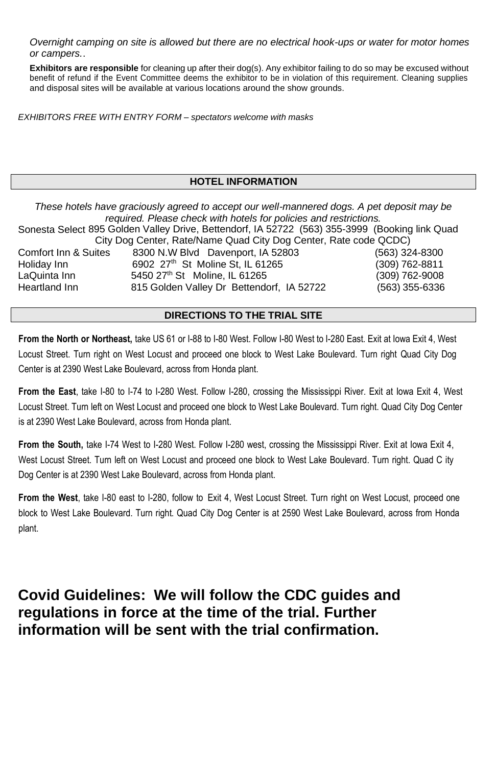*Overnight camping on site is allowed but there are no electrical hook-ups or water for motor homes or campers.*.

**Exhibitors are responsible** for cleaning up after their dog(s). Any exhibitor failing to do so may be excused without benefit of refund if the Event Committee deems the exhibitor to be in violation of this requirement. Cleaning supplies and disposal sites will be available at various locations around the show grounds.

*EXHIBITORS FREE WITH ENTRY FORM – spectators welcome with masks*

### **HOTEL INFORMATION**

*These hotels have graciously agreed to accept our well-mannered dogs. A pet deposit may be required. Please check with hotels for policies and restrictions.*

Sonesta Select 895 Golden Valley Drive, Bettendorf, IA 52722 (563) 355-3999 (Booking link Quad City Dog Center, Rate/Name Quad City Dog Center, Rate code QCDC) Comfort Inn & Suites 8300 N.W Blvd Davenport, IA 52803 (563) 324-8300 Holiday Inn 6902 27th St Moline St, IL 61265 (309) 762-8811 LaQuinta Inn 5450 27th St Moline, IL 61265 (309) 762-9008

Heartland Inn 815 Golden Valley Dr Bettendorf, IA 52722 (563) 355-6336

#### **DIRECTIONS TO THE TRIAL SITE**

**From the North or Northeast,** take US 61 or I-88 to I-80 West. Follow I-80 West to I-280 East. Exit at Iowa Exit 4, West Locust Street. Turn right on West Locust and proceed one block to West Lake Boulevard. Turn right Quad City Dog Center is at 2390 West Lake Boulevard, across from Honda plant.

**From the East**, take I-80 to I-74 to I-280 West. Follow I-280, crossing the Mississippi River. Exit at Iowa Exit 4, West Locust Street. Turn left on West Locust and proceed one block to West Lake Boulevard. Turn right. Quad City Dog Center is at 2390 West Lake Boulevard, across from Honda plant.

**From the South,** take I-74 West to I-280 West. Follow I-280 west, crossing the Mississippi River. Exit at Iowa Exit 4, West Locust Street. Turn left on West Locust and proceed one block to West Lake Boulevard. Turn right. Quad C ity Dog Center is at 2390 West Lake Boulevard, across from Honda plant.

**From the West**, take I-80 east to I-280, follow to Exit 4, West Locust Street. Turn right on West Locust, proceed one block to West Lake Boulevard. Turn right. Quad City Dog Center is at 2590 West Lake Boulevard, across from Honda plant.

**Covid Guidelines: We will follow the CDC guides and regulations in force at the time of the trial. Further information will be sent with the trial confirmation.**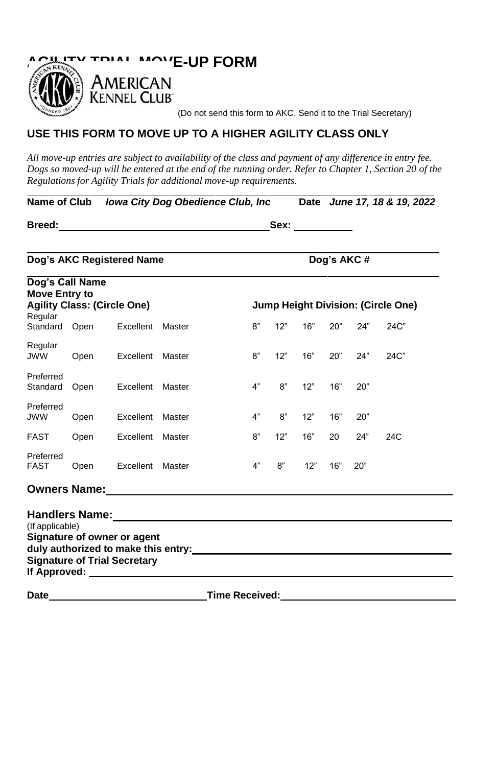

(Do not send this form to AKC. Send it to the Trial Secretary)

### **USE THIS FORM TO MOVE UP TO A HIGHER AGILITY CLASS ONLY**

*All move-up entries are subject to availability of the class and payment of any difference in entry fee. Dogs so moved-up will be entered at the end of the running order. Refer to Chapter 1, Section 20 of the Regulations for Agility Trials for additional move-up requirements.*

**Name of Club** *Iowa City Dog Obedience Club, Inc* **Date** *June 17, 18 & 19, 2022*

|--|

| Dog's AKC Registered Name                                                                                                                                                                                                                                                                                                                                               |      |                                    |        | Dog's AKC#            |     |     |     |     |                                    |
|-------------------------------------------------------------------------------------------------------------------------------------------------------------------------------------------------------------------------------------------------------------------------------------------------------------------------------------------------------------------------|------|------------------------------------|--------|-----------------------|-----|-----|-----|-----|------------------------------------|
| Dog's Call Name<br><b>Move Entry to</b><br>Regular                                                                                                                                                                                                                                                                                                                      |      | <b>Agility Class: (Circle One)</b> |        |                       |     |     |     |     | Jump Height Division: (Circle One) |
| Standard Open                                                                                                                                                                                                                                                                                                                                                           |      | Excellent                          | Master | 8"                    | 12" | 16" | 20" | 24" | 24C"                               |
| Regular<br><b>JWW</b>                                                                                                                                                                                                                                                                                                                                                   | Open | Excellent                          | Master | 8"                    | 12" | 16" | 20" | 24" | 24C"                               |
| Preferred<br>Standard                                                                                                                                                                                                                                                                                                                                                   | Open | Excellent                          | Master | 4"                    | 8"  | 12" | 16" | 20" |                                    |
| Preferred<br><b>JWW</b>                                                                                                                                                                                                                                                                                                                                                 | Open | Excellent                          | Master | 4"                    | 8"  | 12" | 16" | 20" |                                    |
| <b>FAST</b>                                                                                                                                                                                                                                                                                                                                                             | Open | Excellent                          | Master | 8"                    | 12" | 16" | 20  | 24" | 24C                                |
| Preferred<br><b>FAST</b>                                                                                                                                                                                                                                                                                                                                                | Open | Excellent                          | Master | 4"                    | 8"  | 12" | 16" | 20" |                                    |
|                                                                                                                                                                                                                                                                                                                                                                         |      |                                    |        |                       |     |     |     |     |                                    |
| (If applicable)<br>Signature of owner or agent<br>duly authorized to make this entry:<br><br><b>Signature of Trial Secretary</b><br><b>If Approved:</b> The contract of the contract of the contract of the contract of the contract of the contract of the contract of the contract of the contract of the contract of the contract of the contract of the contract of |      |                                    |        |                       |     |     |     |     |                                    |
| Date                                                                                                                                                                                                                                                                                                                                                                    |      |                                    |        | <b>Time Received:</b> |     |     |     |     |                                    |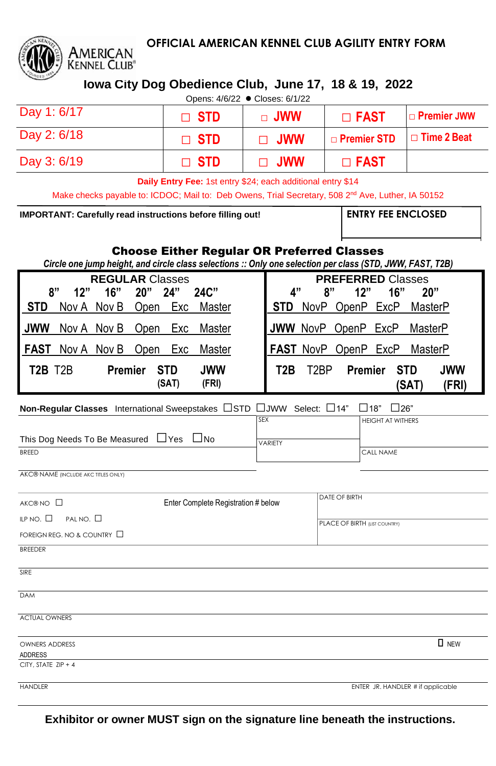

## **OFFICIAL AMERICAN KENNEL CLUB AGILITY ENTRY FORM**

**Iowa City Dog Obedience Club, June 17, 18 & 19, 2022**

|                                                                                         |              | Opens: 4/6/22 ● Closes: 6/1/22 |                |                    |  |  |
|-----------------------------------------------------------------------------------------|--------------|--------------------------------|----------------|--------------------|--|--|
| Day 1: 6/17                                                                             | $\sqcap$ STD | $\sqcap$ JWW                   | $\square$ FAST | $\Box$ Premier JWW |  |  |
| Day 2: 6/18<br>$\Box$ Time 2 Beat<br><b>D</b> Premier STD<br>$\sqcap$ STD<br>$\Box$ JWW |              |                                |                |                    |  |  |
| Day 3: 6/19<br>$\sqcap$ STD<br>$\Box$ FAST<br>$\Box$ JWW                                |              |                                |                |                    |  |  |
|                                                                                         |              |                                |                |                    |  |  |

**Daily Entry Fee:** 1st entry \$24; each additional entry \$14

Make checks payable to: ICDOC; Mail to: Deb Owens, Trial Secretary, 508 2<sup>nd</sup> Ave, Luther, IA 50152

**IMPORTANT: Carefully read instructions before filling out!** 

## Choose Either Regular OR Preferred Classes

Circle one jump height, and circle class selections :: Only one selection per class (STD, JWW, FAST, T2B)

| <b>REGULAR Classes</b>                                                  | <b>PREFERRED Classes</b>                                                                 |
|-------------------------------------------------------------------------|------------------------------------------------------------------------------------------|
| 8"<br>24"<br>24C"<br>12"<br>16"<br>20"                                  | 4"<br>ጸ"<br>20"<br>16"<br>12"                                                            |
| I STD<br>Nov A Nov B<br>Master<br>Exc<br>Open                           | NovP OpenP ExcP MasterP<br><b>STD</b>                                                    |
| l Jww<br>Nov A Nov B Open<br>Exc<br>Master                              | JWW NovP OpenP ExcP<br>MasterP                                                           |
| Nov A Nov B<br>Exc<br>I FAST<br>Open<br>Master                          | FAST NovP OpenP ExcP MasterP                                                             |
| T2R T2R<br><b>JWW</b><br><b>STD</b><br><b>Premier</b><br>(SAT)<br>(FRI) | T2B<br>T <sub>2</sub> BP<br><b>JWW</b><br><b>STD</b><br><b>Premier</b><br>(FRI)<br>(SAT) |

## **Non-Regular Classes** International Sweepstakes □STD □JWW Select: □14" □18" □26"

|                                        | <b>ISEX</b> | <b>HEIGHT AT WITHERS</b> |
|----------------------------------------|-------------|--------------------------|
| This Dog Needs To Be Measured ∐Yes ∐No | VARIETY     |                          |
| <b>BRFFD</b>                           |             | <b>CALL NAME</b>         |

AKC® NAME (INCLUDE AKC TITLES ONLY)

| AKC® NO □                              | Enter Complete Registration # below | DATE OF BIRTH                     |  |
|----------------------------------------|-------------------------------------|-----------------------------------|--|
| PAL NO. $\square$<br>ILP NO. $\square$ |                                     | PLACE OF BIRTH (LIST COUNTRY)     |  |
| FOREIGN REG. NO & COUNTRY $\Box$       |                                     |                                   |  |
| <b>BREEDER</b>                         |                                     |                                   |  |
| SIRE                                   |                                     |                                   |  |
| <b>DAM</b>                             |                                     |                                   |  |
| <b>ACTUAL OWNERS</b>                   |                                     |                                   |  |
| <b>OWNERS ADDRESS</b><br>ADDRESS       |                                     | $\Box$ NEW                        |  |
| CITY, STATE ZIP + 4                    |                                     |                                   |  |
| <b>HANDLER</b>                         |                                     | ENTER JR. HANDLER # if applicable |  |

**Exhibitor or owner MUST sign on the signature line beneath the instructions.**